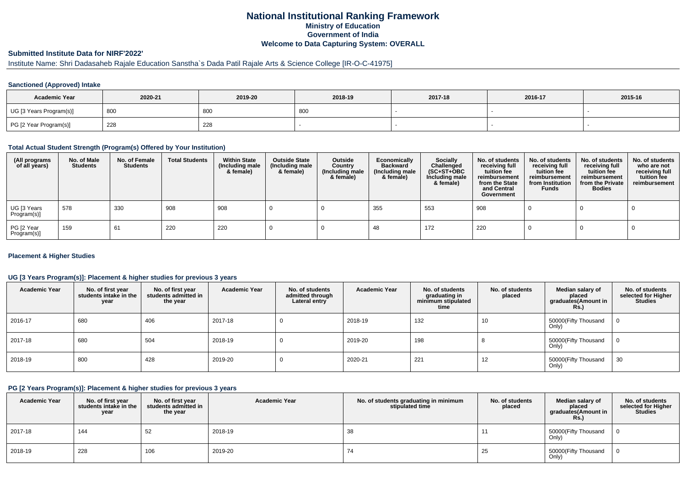# **National Institutional Ranking FrameworkMinistry of Education Government of IndiaWelcome to Data Capturing System: OVERALL**

# **Submitted Institute Data for NIRF'2022'**

# Institute Name: Shri Dadasaheb Rajale Education Sanstha`s Dada Patil Rajale Arts & Science College [IR-O-C-41975]

#### **Sanctioned (Approved) Intake**

| <b>Academic Year</b>    | 2020-21 | 2019-20 | 2018-19         | 2017-18 | 2016-17 | 2015-16 |
|-------------------------|---------|---------|-----------------|---------|---------|---------|
| UG [3 Years Program(s)] | 800     | 800     | $\Omega$<br>συι |         |         |         |
| PG [2 Year Program(s)]  | 228     | 228     |                 |         |         |         |

#### **Total Actual Student Strength (Program(s) Offered by Your Institution)**

| (All programs<br>of all years) | No. of Male<br><b>Students</b> | No. of Female<br><b>Students</b> | <b>Total Students</b> | <b>Within State</b><br>(Including male<br>& female) | <b>Outside State</b><br>(Including male<br>& female) | Outside<br>Country<br>(Including male<br>& female) | Economically<br><b>Backward</b><br>(Including male<br>& female) | <b>Socially</b><br>Challenged<br>$(SC+ST+OBC)$<br>Including male<br>& female) | No. of students<br>receiving full<br>tuition fee<br>reimbursement<br>from the State<br>and Central<br>Government | No. of students<br>receiving full<br>tuition fee<br>reimbursement<br>from Institution<br><b>Funds</b> | No. of students<br>receiving full<br>tuition fee<br>reimbursement<br>from the Private<br><b>Bodies</b> | No. of students<br>who are not<br>receiving full<br>tuition fee<br>reimbursement |
|--------------------------------|--------------------------------|----------------------------------|-----------------------|-----------------------------------------------------|------------------------------------------------------|----------------------------------------------------|-----------------------------------------------------------------|-------------------------------------------------------------------------------|------------------------------------------------------------------------------------------------------------------|-------------------------------------------------------------------------------------------------------|--------------------------------------------------------------------------------------------------------|----------------------------------------------------------------------------------|
| UG [3 Years<br>Program(s)]     | 578                            | 330                              | 908                   | 908                                                 |                                                      |                                                    | 355                                                             | 553                                                                           | 908                                                                                                              |                                                                                                       |                                                                                                        |                                                                                  |
| PG [2 Year<br>Program(s)]      | 159                            | 61                               | 220                   | 220                                                 |                                                      |                                                    | -48                                                             | 172                                                                           | 220                                                                                                              |                                                                                                       |                                                                                                        |                                                                                  |

#### **Placement & Higher Studies**

#### **UG [3 Years Program(s)]: Placement & higher studies for previous 3 years**

| <b>Academic Year</b> | No. of first year<br>students intake in the<br>year | No. of first year<br>students admitted in<br>the year | <b>Academic Year</b> | No. of students<br>admitted through<br>Lateral entry | <b>Academic Year</b> | No. of students<br>graduating in<br>minimum stipulated<br>time | No. of students<br>placed | Median salary of<br>placed<br>graduates(Amount in<br>Rs.) | No. of students<br>selected for Higher<br><b>Studies</b> |
|----------------------|-----------------------------------------------------|-------------------------------------------------------|----------------------|------------------------------------------------------|----------------------|----------------------------------------------------------------|---------------------------|-----------------------------------------------------------|----------------------------------------------------------|
| 2016-17              | 680                                                 | 406                                                   | 2017-18              | υ                                                    | 2018-19              | 132                                                            | 10                        | 50000(Fifty Thousand<br>Only)                             |                                                          |
| 2017-18              | 680                                                 | 504                                                   | 2018-19              | υ                                                    | 2019-20              | 198                                                            |                           | 50000(Fifty Thousand<br>Only)                             |                                                          |
| 2018-19              | 800                                                 | 428                                                   | 2019-20              | υ                                                    | 2020-21              | 221                                                            | 12                        | 50000(Fifty Thousand<br>Only)                             | 30                                                       |

### **PG [2 Years Program(s)]: Placement & higher studies for previous 3 years**

| <b>Academic Year</b> | No. of first year<br>students intake in the<br>year | No. of first year<br>students admitted in<br>the year | <b>Academic Year</b> | No. of students graduating in minimum<br>stipulated time | No. of students<br>placed | Median salary of<br>placed<br>graduates(Amount in<br>Rs.) | No. of students<br>selected for Higher<br><b>Studies</b> |
|----------------------|-----------------------------------------------------|-------------------------------------------------------|----------------------|----------------------------------------------------------|---------------------------|-----------------------------------------------------------|----------------------------------------------------------|
| 2017-18              | 144                                                 | 52                                                    | 2018-19              | 38                                                       | 11                        | 50000 (Fifty Thousand<br>Only)                            |                                                          |
| 2018-19              | 228                                                 | 106                                                   | 2019-20              | 74                                                       | 25                        | 50000(Fifty Thousand<br>Only)                             |                                                          |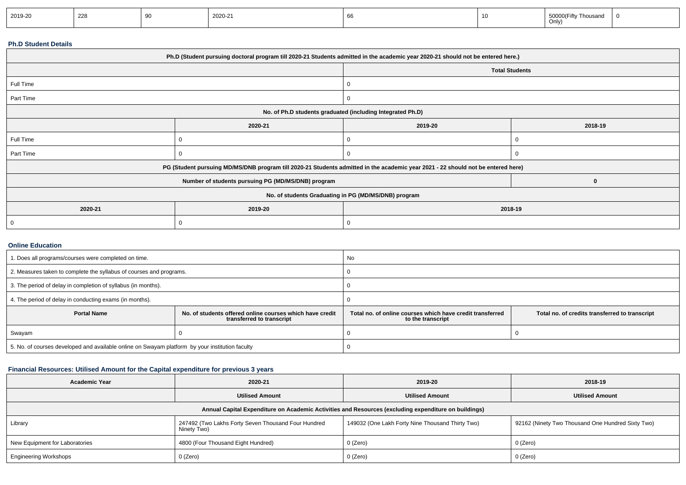| 2019-20 | 228 | 2020-21 |  | 50000 (Fifty Thousand<br>Only) |  |
|---------|-----|---------|--|--------------------------------|--|
|         |     |         |  |                                |  |

#### **Ph.D Student Details**

| Ph.D (Student pursuing doctoral program till 2020-21 Students admitted in the academic year 2020-21 should not be entered here.) |                                                                                                                                  |                                                            |   |  |  |
|----------------------------------------------------------------------------------------------------------------------------------|----------------------------------------------------------------------------------------------------------------------------------|------------------------------------------------------------|---|--|--|
|                                                                                                                                  | <b>Total Students</b>                                                                                                            |                                                            |   |  |  |
| Full Time                                                                                                                        |                                                                                                                                  | 0                                                          |   |  |  |
| Part Time                                                                                                                        |                                                                                                                                  | 0                                                          |   |  |  |
|                                                                                                                                  |                                                                                                                                  | No. of Ph.D students graduated (including Integrated Ph.D) |   |  |  |
|                                                                                                                                  | 2020-21                                                                                                                          | 2019-20<br>2018-19                                         |   |  |  |
| Full Time                                                                                                                        |                                                                                                                                  | 0                                                          |   |  |  |
| Part Time                                                                                                                        |                                                                                                                                  | 0                                                          |   |  |  |
|                                                                                                                                  | PG (Student pursuing MD/MS/DNB program till 2020-21 Students admitted in the academic year 2021 - 22 should not be entered here) |                                                            |   |  |  |
|                                                                                                                                  | Number of students pursuing PG (MD/MS/DNB) program                                                                               |                                                            | O |  |  |
| No. of students Graduating in PG (MD/MS/DNB) program                                                                             |                                                                                                                                  |                                                            |   |  |  |
| 2020-21                                                                                                                          | 2019-20<br>2018-19                                                                                                               |                                                            |   |  |  |
|                                                                                                                                  |                                                                                                                                  | 0                                                          |   |  |  |

#### **Online Education**

| 1. Does all programs/courses were completed on time.                                            |                                                                                       | No                                                                             |                                                |  |  |
|-------------------------------------------------------------------------------------------------|---------------------------------------------------------------------------------------|--------------------------------------------------------------------------------|------------------------------------------------|--|--|
| 2. Measures taken to complete the syllabus of courses and programs.                             |                                                                                       |                                                                                |                                                |  |  |
| 3. The period of delay in completion of syllabus (in months).                                   |                                                                                       |                                                                                |                                                |  |  |
| 4. The period of delay in conducting exams (in months).                                         |                                                                                       |                                                                                |                                                |  |  |
| <b>Portal Name</b>                                                                              | No. of students offered online courses which have credit<br>transferred to transcript | Total no, of online courses which have credit transferred<br>to the transcript | Total no. of credits transferred to transcript |  |  |
| Swayam                                                                                          |                                                                                       |                                                                                |                                                |  |  |
| 5. No. of courses developed and available online on Swayam platform by your institution faculty |                                                                                       |                                                                                |                                                |  |  |

## **Financial Resources: Utilised Amount for the Capital expenditure for previous 3 years**

| <b>Academic Year</b>                                                                                 | 2020-21                                                            | 2019-20                                          | 2018-19                                           |  |  |  |  |  |
|------------------------------------------------------------------------------------------------------|--------------------------------------------------------------------|--------------------------------------------------|---------------------------------------------------|--|--|--|--|--|
|                                                                                                      | <b>Utilised Amount</b>                                             | <b>Utilised Amount</b>                           | <b>Utilised Amount</b>                            |  |  |  |  |  |
| Annual Capital Expenditure on Academic Activities and Resources (excluding expenditure on buildings) |                                                                    |                                                  |                                                   |  |  |  |  |  |
| Library                                                                                              | 247492 (Two Lakhs Forty Seven Thousand Four Hundred<br>Ninety Two) | 149032 (One Lakh Forty Nine Thousand Thirty Two) | 92162 (Ninety Two Thousand One Hundred Sixty Two) |  |  |  |  |  |
| New Equipment for Laboratories                                                                       | 4800 (Four Thousand Eight Hundred)                                 | 0 (Zero)                                         | 0 (Zero)                                          |  |  |  |  |  |
| <b>Engineering Workshops</b>                                                                         | 0 (Zero)                                                           | 0 (Zero)                                         | 0 (Zero)                                          |  |  |  |  |  |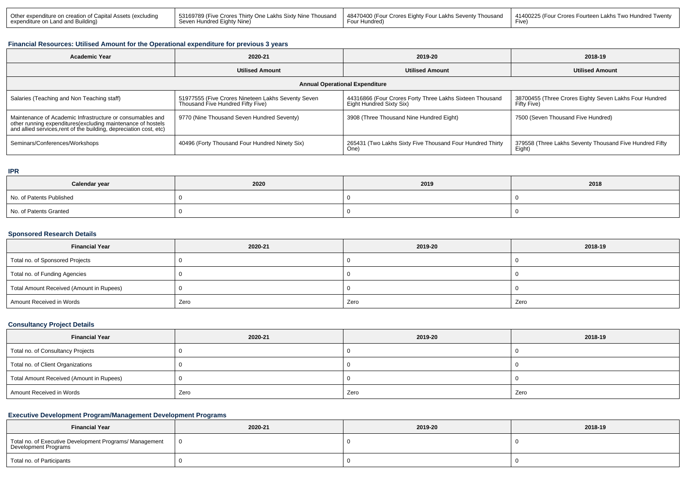| Other expenditure on creation of Capital Assets (excluding<br>expenditure on Land and Building) | Seven Hundred Eighty Nine) | 53169789 (Five Crores Thirty One Lakhs Sixty Nine Thousand ) 48470400 (Four Crores Eighty Four Lakhs Seventy Thousand | 41400225 (Four Crores Fourteen Lakhs Two Hundred Twenty |
|-------------------------------------------------------------------------------------------------|----------------------------|-----------------------------------------------------------------------------------------------------------------------|---------------------------------------------------------|
|-------------------------------------------------------------------------------------------------|----------------------------|-----------------------------------------------------------------------------------------------------------------------|---------------------------------------------------------|

#### **Financial Resources: Utilised Amount for the Operational expenditure for previous 3 years**

| <b>Academic Year</b>                                                                                                                                                                            | 2020-21                                                                                 | 2019-20                                                                              | 2018-19                                                               |  |  |  |  |  |
|-------------------------------------------------------------------------------------------------------------------------------------------------------------------------------------------------|-----------------------------------------------------------------------------------------|--------------------------------------------------------------------------------------|-----------------------------------------------------------------------|--|--|--|--|--|
|                                                                                                                                                                                                 | <b>Utilised Amount</b>                                                                  | <b>Utilised Amount</b>                                                               | <b>Utilised Amount</b>                                                |  |  |  |  |  |
| <b>Annual Operational Expenditure</b>                                                                                                                                                           |                                                                                         |                                                                                      |                                                                       |  |  |  |  |  |
| Salaries (Teaching and Non Teaching staff)                                                                                                                                                      | 51977555 (Five Crores Nineteen Lakhs Seventy Seven<br>Thousand Five Hundred Fifty Five) | 44316866 (Four Crores Forty Three Lakhs Sixteen Thousand<br>Eight Hundred Sixty Six) | 38700455 (Three Crores Eighty Seven Lakhs Four Hundred<br>Fifty Five) |  |  |  |  |  |
| Maintenance of Academic Infrastructure or consumables and<br>other running expenditures (excluding maintenance of hostels<br>and allied services, rent of the building, depreciation cost, etc) | 9770 (Nine Thousand Seven Hundred Seventy)                                              | 3908 (Three Thousand Nine Hundred Eight)                                             | 7500 (Seven Thousand Five Hundred)                                    |  |  |  |  |  |
| Seminars/Conferences/Workshops                                                                                                                                                                  | 40496 (Forty Thousand Four Hundred Ninety Six)                                          | 265431 (Two Lakhs Sixty Five Thousand Four Hundred Thirty<br>One)                    | 379558 (Three Lakhs Seventy Thousand Five Hundred Fifty<br>Eight)     |  |  |  |  |  |

#### **IPR**

| Calendar year            | 2020 | 2019 | 2018 |
|--------------------------|------|------|------|
| No. of Patents Published |      |      |      |
| No. of Patents Granted   |      |      |      |

### **Sponsored Research Details**

| <b>Financial Year</b>                    | 2020-21 | 2019-20 | 2018-19 |
|------------------------------------------|---------|---------|---------|
| Total no. of Sponsored Projects          |         |         |         |
| Total no. of Funding Agencies            |         |         |         |
| Total Amount Received (Amount in Rupees) |         |         |         |
| Amount Received in Words                 | Zero    | Zero    | Zero    |

### **Consultancy Project Details**

| <b>Financial Year</b>                    | 2020-21 | 2019-20 | 2018-19 |  |
|------------------------------------------|---------|---------|---------|--|
| Total no. of Consultancy Projects        |         |         |         |  |
| Total no. of Client Organizations        |         |         |         |  |
| Total Amount Received (Amount in Rupees) |         |         |         |  |
| Amount Received in Words                 | Zero    | Zero    | Zero    |  |

## **Executive Development Program/Management Development Programs**

| <b>Financial Year</b>                                                           | 2020-21 | 2019-20 | 2018-19 |  |
|---------------------------------------------------------------------------------|---------|---------|---------|--|
| Total no. of Executive Development Programs/ Management<br>Development Programs |         |         |         |  |
| Total no. of Participants                                                       |         |         |         |  |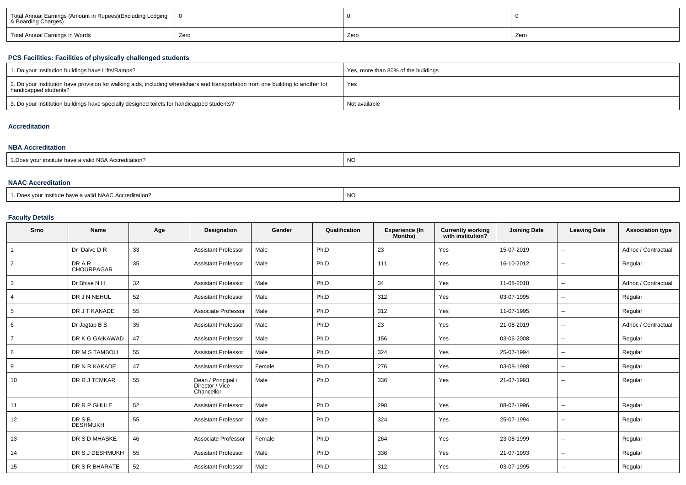| Total Annual Earnings (Amount in Rupees)(Excluding Lodging<br>& Boarding Charges) |      |      |      |  |
|-----------------------------------------------------------------------------------|------|------|------|--|
| Total Annual Earnings in Words                                                    | Zero | Zero | Zero |  |

### **PCS Facilities: Facilities of physically challenged students**

| 1. Do your institution buildings have Lifts/Ramps?                                                                                                         | Yes, more than 80% of the buildings |
|------------------------------------------------------------------------------------------------------------------------------------------------------------|-------------------------------------|
| 2. Do your institution have provision for walking aids, including wheelchairs and transportation from one building to another for<br>handicapped students? | Yes                                 |
| 3. Do your institution buildings have specially designed toilets for handicapped students?                                                                 | Not available                       |

### **Accreditation**

#### **NBA Accreditation**

| 1.Does vour institute have a valid NBA Accreditation? | NO. |
|-------------------------------------------------------|-----|
|                                                       |     |

#### **NAAC Accreditation**

| 1. Does vour institute have a valid NAAC Accreditation? | <b>NO</b> |
|---------------------------------------------------------|-----------|
|---------------------------------------------------------|-----------|

## **Faculty Details**

| Srno            | <b>Name</b>                      | Age | <b>Designation</b>                                  | Gender | Qualification | <b>Experience (In</b><br>Months) | <b>Currently working</b><br>with institution? | <b>Joining Date</b> | <b>Leaving Date</b>      | <b>Association type</b> |
|-----------------|----------------------------------|-----|-----------------------------------------------------|--------|---------------|----------------------------------|-----------------------------------------------|---------------------|--------------------------|-------------------------|
| $\mathbf{1}$    | Dr Dalve D R                     | 33  | <b>Assistant Professor</b>                          | Male   | Ph.D          | 23                               | Yes                                           | 15-07-2019          | $\sim$                   | Adhoc / Contractual     |
| 2               | <b>DRAR</b><br><b>CHOURPAGAR</b> | 35  | <b>Assistant Professor</b>                          | Male   | Ph.D          | 111                              | Yes                                           | 16-10-2012          | $\overline{\phantom{a}}$ | Regular                 |
| 3               | Dr Bhise N H                     | 32  | <b>Assistant Professor</b>                          | Male   | Ph.D          | 34                               | Yes                                           | 11-08-2018          | $\sim$                   | Adhoc / Contractual     |
| 4               | DR J N NEHUL                     | 52  | <b>Assistant Professor</b>                          | Male   | Ph.D          | 312                              | Yes                                           | 03-07-1995          | $\sim$                   | Regular                 |
| $5\overline{)}$ | DR J T KANADE                    | 55  | Associate Professor                                 | Male   | Ph.D          | 312                              | Yes                                           | 11-07-1995          | $\sim$                   | Regular                 |
| 6               | Dr Jagtap B S                    | 35  | <b>Assistant Professor</b>                          | Male   | Ph.D          | 23                               | Yes                                           | 21-08-2019          | $\sim$                   | Adhoc / Contractual     |
| $\overline{7}$  | DR K G GAIKAWAD                  | 47  | <b>Assistant Professor</b>                          | Male   | Ph.D          | 156                              | Yes                                           | 03-06-2008          | $\sim$                   | Regular                 |
| 8               | DR M S TAMBOLI                   | 55  | <b>Assistant Professor</b>                          | Male   | Ph.D          | 324                              | Yes                                           | 25-07-1994          | $\sim$                   | Regular                 |
| 9               | DR N R KAKADE                    | 47  | <b>Assistant Professor</b>                          | Female | Ph.D          | 276                              | Yes                                           | 03-08-1998          | $\sim$                   | Regular                 |
| 10              | DR R J TEMKAR                    | 55  | Dean / Principal /<br>Director / Vice<br>Chancellor | Male   | Ph.D          | 336                              | Yes                                           | 21-07-1993          | $\sim$                   | Regular                 |
| 11              | DR R P GHULE                     | 52  | <b>Assistant Professor</b>                          | Male   | Ph.D          | 298                              | Yes                                           | 08-07-1996          | $\sim$                   | Regular                 |
| 12              | DR S B<br><b>DESHMUKH</b>        | 55  | <b>Assistant Professor</b>                          | Male   | Ph.D          | 324                              | Yes                                           | 25-07-1994          | $\sim$                   | Regular                 |
| 13              | DR S D MHASKE                    | 46  | Associate Professor                                 | Female | Ph.D          | 264                              | Yes                                           | 23-08-1999          | $\sim$                   | Regular                 |
| 14              | DR S J DESHMUKH                  | 55  | <b>Assistant Professor</b>                          | Male   | Ph.D          | 336                              | Yes                                           | 21-07-1993          | $\sim$                   | Regular                 |
| 15              | DR S R BHARATE                   | 52  | <b>Assistant Professor</b>                          | Male   | Ph.D          | 312                              | Yes                                           | 03-07-1995          | $\sim$                   | Regular                 |